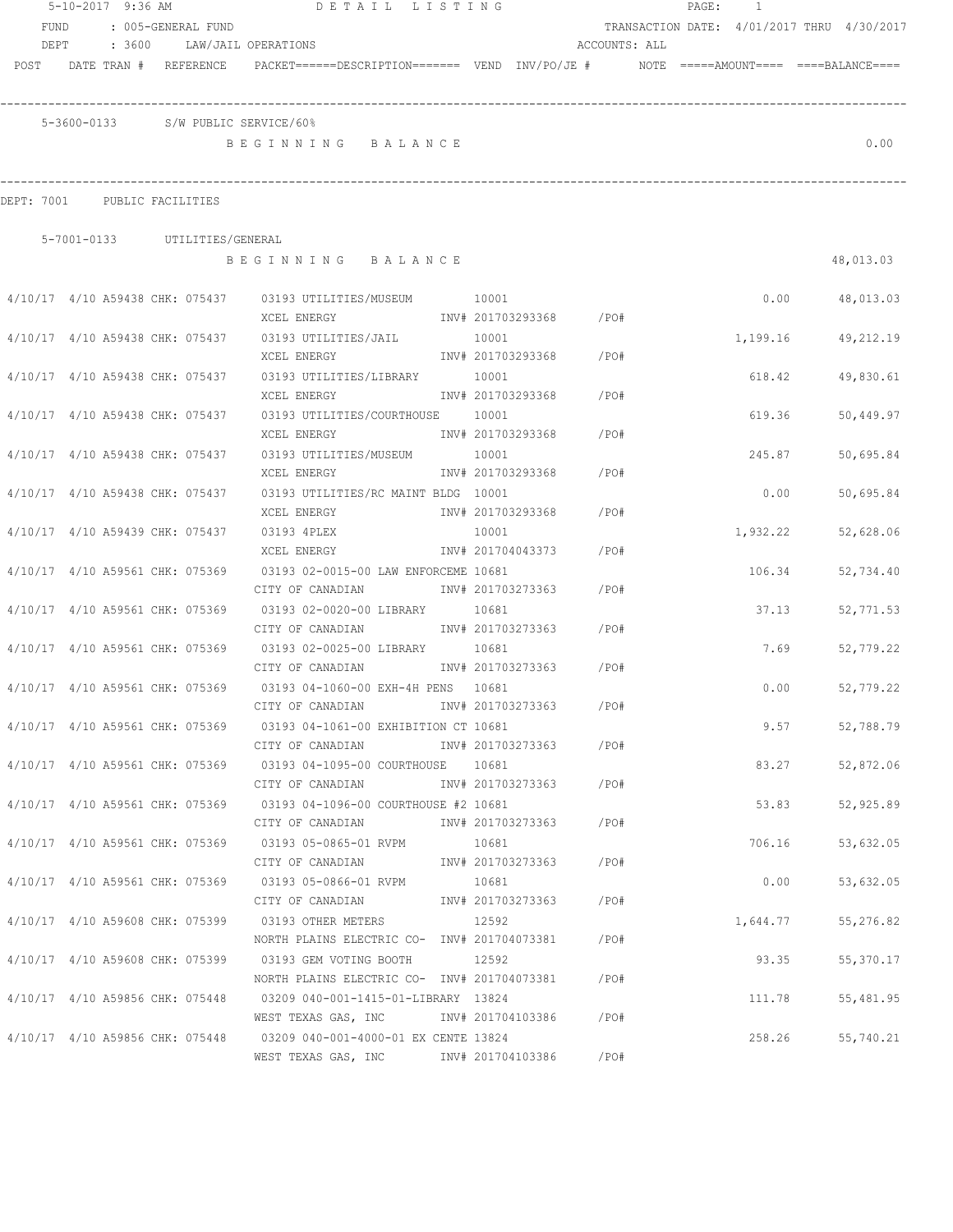|                                 | 5-10-2017 9:36 AM |  |                               | DETAIL LISTING                                                                          |                   |                        |               | PAGE: 1 |                                            |           |
|---------------------------------|-------------------|--|-------------------------------|-----------------------------------------------------------------------------------------|-------------------|------------------------|---------------|---------|--------------------------------------------|-----------|
| <b>FUND</b>                     |                   |  | : 005-GENERAL FUND            |                                                                                         |                   |                        |               |         | TRANSACTION DATE: 4/01/2017 THRU 4/30/2017 |           |
| DEPT                            |                   |  |                               | : 3600 LAW/JAIL OPERATIONS                                                              |                   |                        | ACCOUNTS: ALL |         |                                            |           |
| POST DATE TRAN # REFERENCE      |                   |  |                               | PACKET======DESCRIPTION======= VEND INV/PO/JE #    NOTE =====AMOUNT==== ====BALANCE==== |                   |                        |               |         |                                            |           |
|                                 |                   |  |                               | 5-3600-0133 S/W PUBLIC SERVICE/60%                                                      |                   |                        |               |         |                                            |           |
|                                 |                   |  |                               | BEGINNING BALANCE                                                                       |                   |                        |               |         |                                            | 0.00      |
| DEPT: 7001 PUBLIC FACILITIES    |                   |  |                               |                                                                                         |                   |                        |               |         |                                            |           |
|                                 |                   |  | 5-7001-0133 UTILITIES/GENERAL |                                                                                         |                   |                        |               |         |                                            |           |
|                                 |                   |  |                               | BEGINNING BALANCE                                                                       |                   |                        |               |         |                                            | 48,013.03 |
|                                 |                   |  |                               | 4/10/17 4/10 A59438 CHK: 075437 03193 UTILITIES/MUSEUM 10001                            |                   |                        |               |         | 0.00                                       | 48,013.03 |
|                                 |                   |  |                               |                                                                                         |                   |                        |               |         |                                            |           |
|                                 |                   |  |                               | $4/10/17$ $4/10$ A59438 CHK: 075437 03193 UTILITIES/JAIL 10001                          |                   |                        |               |         | 1,199.16                                   | 49,212.19 |
|                                 |                   |  |                               | XCEL ENERGY                                                                             |                   | INV# 201703293368 /PO# |               |         |                                            |           |
| 4/10/17 4/10 A59438 CHK: 075437 |                   |  |                               | 03193 UTILITIES/LIBRARY 10001                                                           |                   |                        |               |         | 618.42                                     | 49,830.61 |
|                                 |                   |  |                               | XCEL ENERGY                                                                             |                   | INV# 201703293368 /PO# |               |         |                                            |           |
| 4/10/17 4/10 A59438 CHK: 075437 |                   |  |                               | 03193 UTILITIES/COURTHOUSE 10001                                                        |                   |                        |               |         | 619.36                                     | 50,449.97 |
|                                 |                   |  |                               | XCEL ENERGY                                                                             |                   | INV# 201703293368      | /PO#          |         |                                            |           |
| 4/10/17 4/10 A59438 CHK: 075437 |                   |  |                               | 03193 UTILITIES/MUSEUM 10001                                                            |                   |                        |               |         | 245.87                                     | 50,695.84 |
|                                 |                   |  |                               | XCEL ENERGY                                                                             |                   | INV# 201703293368      | /PO#          |         |                                            |           |
| 4/10/17 4/10 A59438 CHK: 075437 |                   |  |                               | 03193 UTILITIES/RC MAINT BLDG 10001                                                     |                   |                        |               |         | 0.00                                       | 50,695.84 |
|                                 |                   |  |                               | XCEL ENERGY                                                                             | INV# 201703293368 |                        | / PO#         |         |                                            |           |
| 4/10/17 4/10 A59439 CHK: 075437 |                   |  |                               | 03193 4PLEX                                                                             | 10001             |                        |               |         | 1,932.22                                   | 52,628.06 |
|                                 |                   |  |                               | XCEL ENERGY                                                                             | INV# 201704043373 |                        | /PO#          |         |                                            |           |
| 4/10/17 4/10 A59561 CHK: 075369 |                   |  |                               | 03193 02-0015-00 LAW ENFORCEME 10681                                                    |                   |                        |               |         | 106.34                                     | 52,734.40 |
|                                 |                   |  |                               | CITY OF CANADIAN                                                                        | INV# 201703273363 |                        | $/$ PO#       |         |                                            |           |
| 4/10/17 4/10 A59561 CHK: 075369 |                   |  |                               | 03193 02-0020-00 LIBRARY                                                                | 10681             |                        |               |         | 37.13                                      | 52,771.53 |
|                                 |                   |  |                               | CITY OF CANADIAN                                                                        |                   | INV# 201703273363      | / PO#         |         |                                            |           |
| 4/10/17 4/10 A59561 CHK: 075369 |                   |  |                               | 03193 02-0025-00 LIBRARY 10681                                                          |                   |                        |               |         | 7.69                                       | 52,779.22 |
|                                 |                   |  |                               | CITY OF CANADIAN                                                                        |                   | INV# 201703273363      | /PO#          |         |                                            |           |
| 4/10/17 4/10 A59561 CHK: 075369 |                   |  |                               | 03193 04-1060-00 EXH-4H PENS 10681                                                      |                   |                        |               |         | 0.00                                       | 52,779.22 |
|                                 |                   |  |                               | CITY OF CANADIAN                                                                        |                   | INV# 201703273363      | /PO#          |         |                                            |           |
|                                 |                   |  |                               | 4/10/17 4/10 A59561 CHK: 075369 03193 04-1061-00 EXHIBITION CT 10681                    |                   |                        |               |         | 9.57                                       | 52,788.79 |
|                                 |                   |  |                               | CITY OF CANADIAN                                                                        |                   | INV# 201703273363 /PO# |               |         |                                            |           |
|                                 |                   |  |                               | 4/10/17 4/10 A59561 CHK: 075369 03193 04-1095-00 COURTHOUSE 10681                       |                   |                        |               |         | 83.27                                      | 52,872.06 |
|                                 |                   |  |                               | CITY OF CANADIAN                                                                        |                   | INV# 201703273363 /PO# |               |         |                                            |           |
|                                 |                   |  |                               | 4/10/17 4/10 A59561 CHK: 075369 03193 04-1096-00 COURTHOUSE #2 10681                    |                   |                        |               |         | 53.83                                      | 52,925.89 |
|                                 |                   |  |                               | CITY OF CANADIAN                                                                        |                   | INV# 201703273363 /PO# |               |         |                                            |           |
|                                 |                   |  |                               | 4/10/17 4/10 A59561 CHK: 075369 03193 05-0865-01 RVPM                                   | 10681             |                        |               |         | 706.16                                     | 53,632.05 |
|                                 |                   |  |                               | CITY OF CANADIAN                                                                        |                   | INV# 201703273363 /PO# |               |         |                                            |           |
|                                 |                   |  |                               | 4/10/17 4/10 A59561 CHK: 075369 03193 05-0866-01 RVPM                                   | 10681             |                        |               |         | 0.00                                       | 53,632.05 |
|                                 |                   |  |                               | CITY OF CANADIAN                                                                        |                   | INV# 201703273363 /PO# |               |         |                                            |           |
|                                 |                   |  |                               | 4/10/17 4/10 A59608 CHK: 075399 03193 OTHER METERS                                      | 12592             |                        |               |         | 1,644.77                                   | 55,276.82 |
|                                 |                   |  |                               | NORTH PLAINS ELECTRIC CO- INV# 201704073381                                             |                   |                        | /PO#          |         |                                            |           |
|                                 |                   |  |                               | 4/10/17 4/10 A59608 CHK: 075399 03193 GEM VOTING BOOTH                                  | 12592             |                        |               |         | 93.35                                      | 55,370.17 |
|                                 |                   |  |                               | NORTH PLAINS ELECTRIC CO- INV# 201704073381                                             |                   |                        | /PO#          |         |                                            |           |
|                                 |                   |  |                               | 4/10/17 4/10 A59856 CHK: 075448 03209 040-001-1415-01-LIBRARY 13824                     |                   |                        |               |         | 111.78                                     | 55,481.95 |
|                                 |                   |  |                               | WEST TEXAS GAS, INC MONTH 201704103386 / PO#                                            |                   |                        |               |         |                                            |           |
|                                 |                   |  |                               | 4/10/17 4/10 A59856 CHK: 075448 03209 040-001-4000-01 EX CENTE 13824                    |                   |                        |               |         | 258.26                                     | 55,740.21 |
|                                 |                   |  |                               | WEST TEXAS GAS, INC NOTINV# 201704103386                                                |                   |                        | / PO#         |         |                                            |           |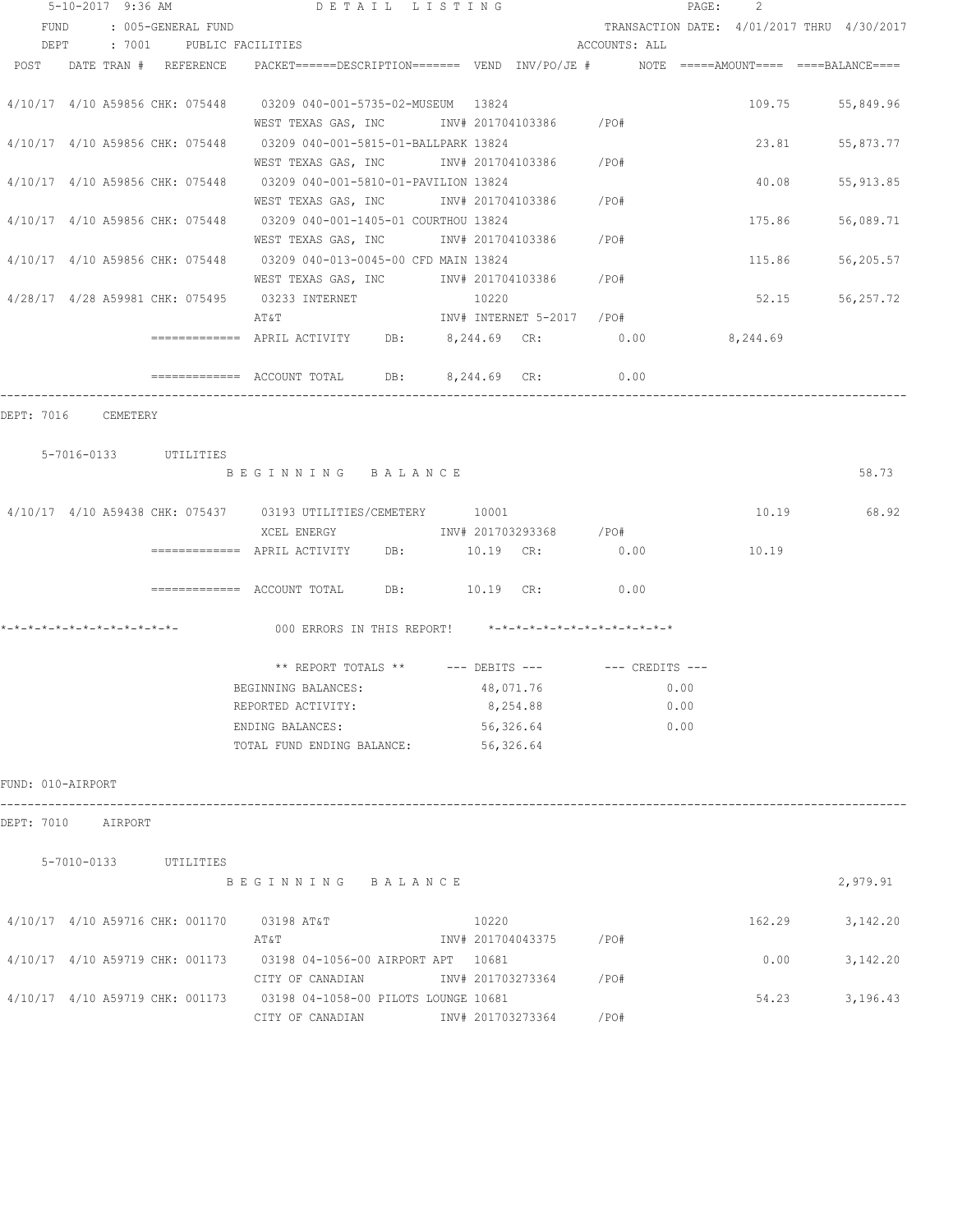|                   |                                 |  | $5 - 10 - 2017$ 9:36 AM                                                                                                     | DETAIL LISTING |           |                           |                                                      | 2<br>PAGE: |                                            |
|-------------------|---------------------------------|--|-----------------------------------------------------------------------------------------------------------------------------|----------------|-----------|---------------------------|------------------------------------------------------|------------|--------------------------------------------|
|                   | FUND : 005-GENERAL FUND         |  |                                                                                                                             |                |           |                           |                                                      |            | TRANSACTION DATE: 4/01/2017 THRU 4/30/2017 |
|                   |                                 |  | DEPT : 7001 PUBLIC FACILITIES                                                                                               |                |           |                           | ACCOUNTS: ALL                                        |            |                                            |
|                   |                                 |  | POST DATE TRAN # REFERENCE PACKET======DESCRIPTION======= VEND INV/PO/JE # NOTE =====AMOUNT==== ====BALANCE====             |                |           |                           |                                                      |            |                                            |
|                   |                                 |  | 4/10/17 4/10 A59856 CHK: 075448 03209 040-001-5735-02-MUSEUM 13824<br>WEST TEXAS GAS, INC        INV# 201704103386     /PO# |                |           |                           |                                                      |            | 109.75 55,849.96                           |
|                   |                                 |  | 4/10/17 4/10 A59856 CHK: 075448 03209 040-001-5815-01-BALLPARK 13824<br>WEST TEXAS GAS, INC \ INV# 201704103386 \ /PO#      |                |           |                           |                                                      |            | 23.81 55,873.77                            |
|                   |                                 |  | 4/10/17 4/10 A59856 CHK: 075448 03209 040-001-5810-01-PAVILION 13824                                                        |                |           |                           |                                                      | 40.08      | 55, 913.85                                 |
|                   |                                 |  | WEST TEXAS GAS, INC<br>4/10/17 4/10 A59856 CHK: 075448 03209 040-001-1405-01 COURTHOU 13824                                 |                |           | INV# 201704103386 /PO#    |                                                      | 175.86     | 56,089.71                                  |
|                   |                                 |  | WEST TEXAS GAS, INC<br>4/10/17 4/10 A59856 CHK: 075448 03209 040-013-0045-00 CFD MAIN 13824                                 |                |           | INV# 201704103386 /PO#    |                                                      | 115.86     | 56,205.57                                  |
|                   |                                 |  | WEST TEXAS GAS, INC<br>4/28/17  4/28  A59981  CHK: 075495  03233  INTERNET                                                  |                | 10220     | INV# 201704103386 /PO#    |                                                      |            | 52.15 56,257.72                            |
|                   |                                 |  | ΑΤ&Τ<br>============ APRIL ACTIVITY DB: 8,244.69 CR: 0.00                                                                   |                |           | INV# INTERNET 5-2017 /PO# |                                                      | 8,244.69   |                                            |
|                   |                                 |  | ============= ACCOUNT TOTAL DB: 8,244.69 CR:                                                                                |                |           |                           | 0.00                                                 |            |                                            |
|                   | DEPT: 7016 CEMETERY             |  |                                                                                                                             |                |           |                           |                                                      |            |                                            |
|                   |                                 |  |                                                                                                                             |                |           |                           |                                                      |            |                                            |
|                   | 5-7016-0133 UTILITIES           |  | BEGINNING BALANCE                                                                                                           |                |           |                           |                                                      |            | 58.73                                      |
|                   |                                 |  | 4/10/17 4/10 A59438 CHK: 075437 03193 UTILITIES/CEMETERY 10001                                                              |                |           |                           |                                                      | 10.19      | 68.92                                      |
|                   |                                 |  | XCEL ENERGY                               INV# 201703293368         /PO#                                                    |                |           | 10.19 CR:                 | 0.00                                                 | 10.19      |                                            |
|                   |                                 |  | ============ ACCOUNT TOTAL DB: 10.19 CR: 0.00                                                                               |                |           |                           |                                                      |            |                                            |
|                   |                                 |  | 000 ERRORS IN THIS REPORT! *-*-*-*-*-*-*-*-*-*-*-*-*-*-                                                                     |                |           |                           |                                                      |            |                                            |
|                   |                                 |  |                                                                                                                             |                |           |                           | ** REPORT TOTALS ** --- DEBITS --- -- -- CREDITS --- |            |                                            |
|                   |                                 |  | BEGINNING BALANCES: 48,071.76                                                                                               |                |           |                           | 0.00                                                 |            |                                            |
|                   |                                 |  | REPORTED ACTIVITY:                                                                                                          |                |           | 8,254.88                  | 0.00                                                 |            |                                            |
|                   |                                 |  | ENDING BALANCES:<br>TOTAL FUND ENDING BALANCE:                                                                              |                | 56,326.64 | 56,326.64                 | 0.00                                                 |            |                                            |
| FUND: 010-AIRPORT |                                 |  |                                                                                                                             |                |           |                           |                                                      |            |                                            |
|                   | DEPT: 7010 AIRPORT              |  |                                                                                                                             |                |           |                           |                                                      |            |                                            |
|                   |                                 |  |                                                                                                                             |                |           |                           |                                                      |            |                                            |
|                   | 5-7010-0133 UTILITIES           |  | BEGINNING BALANCE                                                                                                           |                |           |                           |                                                      |            | 2,979.91                                   |
|                   | 4/10/17 4/10 A59716 CHK: 001170 |  | 03198 AT&T<br>AT&T                                                                                                          |                | 10220     | INV# 201704043375 /PO#    |                                                      | 162.29     | 3,142.20                                   |
|                   | 4/10/17 4/10 A59719 CHK: 001173 |  | 03198 04-1056-00 AIRPORT APT 10681<br>CITY OF CANADIAN                                                                      |                |           | INV# 201703273364         | /PO#                                                 | 0.00       | 3,142.20                                   |
|                   | 4/10/17 4/10 A59719 CHK: 001173 |  | 03198 04-1058-00 PILOTS LOUNGE 10681<br>CITY OF CANADIAN                                                                    |                |           | INV# 201703273364         | /PO#                                                 | 54.23      | 3,196.43                                   |
|                   |                                 |  |                                                                                                                             |                |           |                           |                                                      |            |                                            |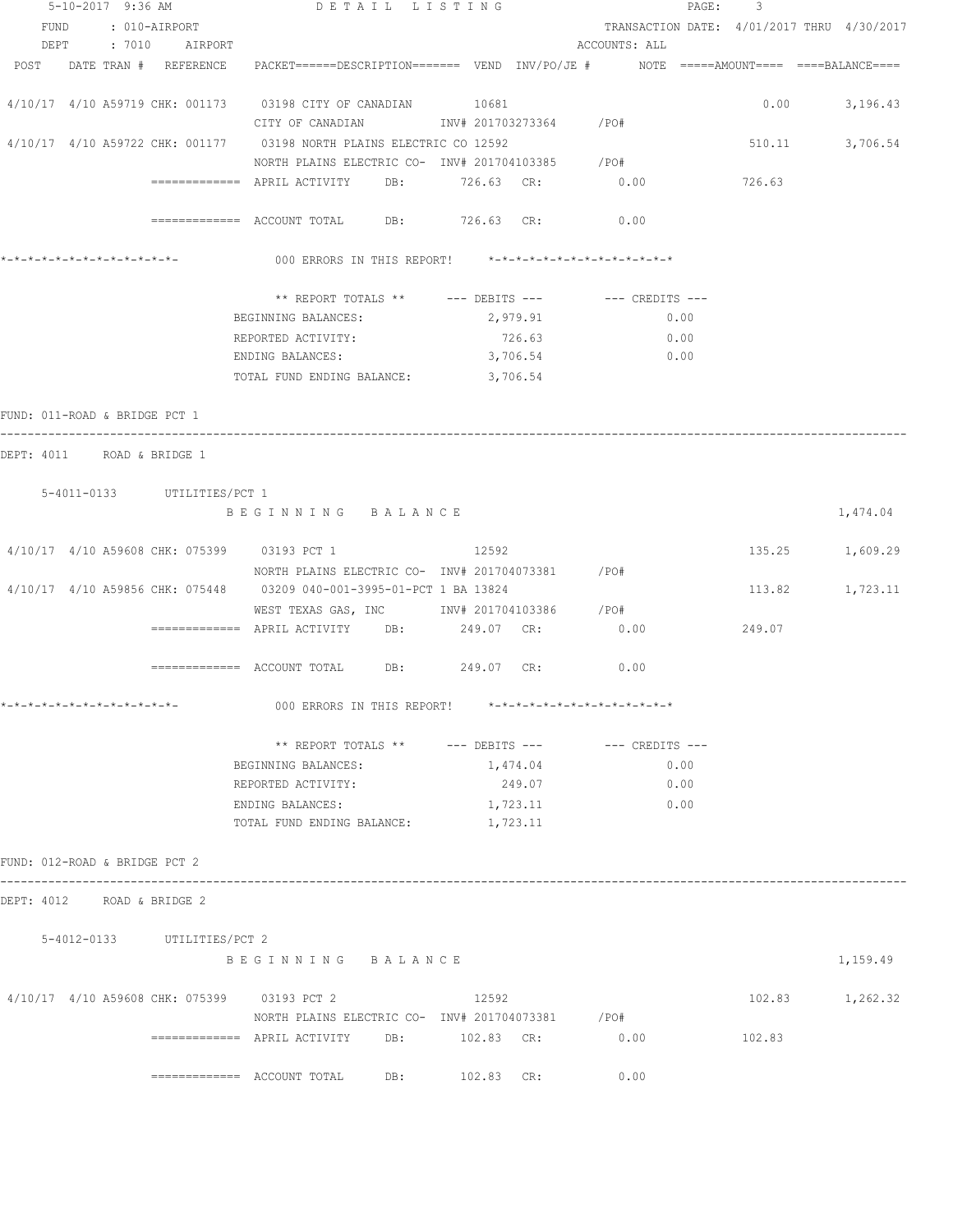| 5-10-2017 9:36 AM                           |                             | DETAIL LISTING                                                                                                  |                    |                                            | PAGE:<br>3 |                   |
|---------------------------------------------|-----------------------------|-----------------------------------------------------------------------------------------------------------------|--------------------|--------------------------------------------|------------|-------------------|
| FUND : 010-AIRPORT                          |                             |                                                                                                                 |                    | TRANSACTION DATE: 4/01/2017 THRU 4/30/2017 |            |                   |
| DEPT                                        | : 7010 AIRPORT              |                                                                                                                 |                    | ACCOUNTS: ALL                              |            |                   |
|                                             |                             | POST DATE TRAN # REFERENCE PACKET======DESCRIPTION======= VEND INV/PO/JE # NOTE =====AMOUNT==== ====BALANCE==== |                    |                                            |            |                   |
|                                             |                             |                                                                                                                 |                    |                                            |            |                   |
|                                             |                             | 4/10/17 4/10 A59719 CHK: 001173 03198 CITY OF CANADIAN 10681                                                    |                    |                                            |            | $0.00$ $3,196.43$ |
|                                             |                             | CITY OF CANADIAN 1NV# 201703273364 / PO#                                                                        |                    |                                            |            |                   |
|                                             |                             | 4/10/17 4/10 A59722 CHK: 001177 03198 NORTH PLAINS ELECTRIC CO 12592                                            |                    |                                            | 510.11     | 3,706.54          |
|                                             |                             | NORTH PLAINS ELECTRIC CO- INV# 201704103385 / PO#                                                               |                    |                                            |            |                   |
|                                             |                             | DB:                                                                                                             | 726.63 CR: 0.00    |                                            | 726.63     |                   |
|                                             |                             |                                                                                                                 |                    |                                            |            |                   |
|                                             |                             |                                                                                                                 | DB: 726.63 CR:     | 0.00                                       |            |                   |
|                                             |                             |                                                                                                                 |                    |                                            |            |                   |
|                                             |                             | 000 ERRORS IN THIS REPORT! *-*-*-*-*-*-*-*-*-*-*-*-*-*-                                                         |                    |                                            |            |                   |
|                                             |                             |                                                                                                                 |                    |                                            |            |                   |
|                                             |                             | ** REPORT TOTALS **                                                                                             | $---$ DEBITS $---$ | --- CREDITS ---                            |            |                   |
|                                             |                             | BEGINNING BALANCES:                                                                                             | 2,979.91           | 0.00                                       |            |                   |
|                                             |                             | REPORTED ACTIVITY:                                                                                              | 726.63             | 0.00                                       |            |                   |
|                                             |                             | ENDING BALANCES:                                                                                                | 3,706.54           | 0.00                                       |            |                   |
|                                             |                             | TOTAL FUND ENDING BALANCE: 3,706.54                                                                             |                    |                                            |            |                   |
| FUND: 011-ROAD & BRIDGE PCT 1               |                             |                                                                                                                 |                    |                                            |            |                   |
|                                             |                             |                                                                                                                 |                    |                                            |            |                   |
| DEPT: 4011 ROAD & BRIDGE 1                  |                             |                                                                                                                 |                    |                                            |            |                   |
|                                             |                             |                                                                                                                 |                    |                                            |            |                   |
|                                             | 5-4011-0133 UTILITIES/PCT 1 |                                                                                                                 |                    |                                            |            |                   |
|                                             |                             | BEGINNING BALANCE                                                                                               |                    |                                            |            | 1,474.04          |
|                                             |                             |                                                                                                                 |                    |                                            |            |                   |
| 4/10/17 4/10 A59608 CHK: 075399 03193 PCT 1 |                             |                                                                                                                 | 12592              |                                            |            | 135.25 1,609.29   |
|                                             |                             | NORTH PLAINS ELECTRIC CO- INV# 201704073381 / PO#                                                               |                    |                                            |            |                   |
|                                             |                             | 4/10/17 4/10 A59856 CHK: 075448 03209 040-001-3995-01-PCT 1 BA 13824                                            |                    |                                            | 113.82     | 1,723.11          |
|                                             |                             | WEST TEXAS GAS, INC        INV# 201704103386    /PO#                                                            |                    |                                            |            |                   |
|                                             |                             |                                                                                                                 |                    | 0.00                                       | 249.07     |                   |
|                                             |                             |                                                                                                                 |                    |                                            |            |                   |
|                                             |                             |                                                                                                                 | DB: 249.07 CR:     | 0.00                                       |            |                   |
|                                             |                             |                                                                                                                 |                    |                                            |            |                   |
| *_*_*_*_*_*_*_*_*_*_*_*_*_*_                |                             | 000 ERRORS IN THIS REPORT!                                                                                      |                    | *_*_*_*_*_*_*_*_*_*_*_*_*_*_*_*            |            |                   |
|                                             |                             |                                                                                                                 |                    |                                            |            |                   |
|                                             |                             | ** REPORT TOTALS ** --- DEBITS --- -- CREDITS ---                                                               |                    |                                            |            |                   |
|                                             |                             | BEGINNING BALANCES:                                                                                             | 1,474.04           | 0.00                                       |            |                   |
|                                             |                             | REPORTED ACTIVITY:                                                                                              | 249.07             | 0.00                                       |            |                   |
|                                             |                             | ENDING BALANCES:                                                                                                | 1,723.11           | 0.00                                       |            |                   |
|                                             |                             | TOTAL FUND ENDING BALANCE:                                                                                      | 1,723.11           |                                            |            |                   |
|                                             |                             |                                                                                                                 |                    |                                            |            |                   |
| FUND: 012-ROAD & BRIDGE PCT 2               |                             |                                                                                                                 |                    |                                            |            |                   |
| DEPT: 4012 ROAD & BRIDGE 2                  |                             |                                                                                                                 |                    |                                            |            |                   |
|                                             |                             |                                                                                                                 |                    |                                            |            |                   |
|                                             | 5-4012-0133 UTILITIES/PCT 2 |                                                                                                                 |                    |                                            |            |                   |
|                                             |                             | BEGINNING BALANCE                                                                                               |                    |                                            |            | 1,159.49          |
|                                             |                             |                                                                                                                 |                    |                                            |            |                   |
| 4/10/17 4/10 A59608 CHK: 075399 03193 PCT 2 |                             |                                                                                                                 | 12592              |                                            |            | 102.83 1,262.32   |
|                                             |                             | NORTH PLAINS ELECTRIC CO- INV# 201704073381 / PO#                                                               |                    |                                            |            |                   |
|                                             |                             | $\overline{\phantom{1}}$ ============= APRIL ACTIVITY DB: $\phantom{1}102.83$ CR:                               |                    | 0.00                                       | 102.83     |                   |
|                                             |                             |                                                                                                                 |                    |                                            |            |                   |
|                                             |                             |                                                                                                                 | DB: 102.83 CR:     | 0.00                                       |            |                   |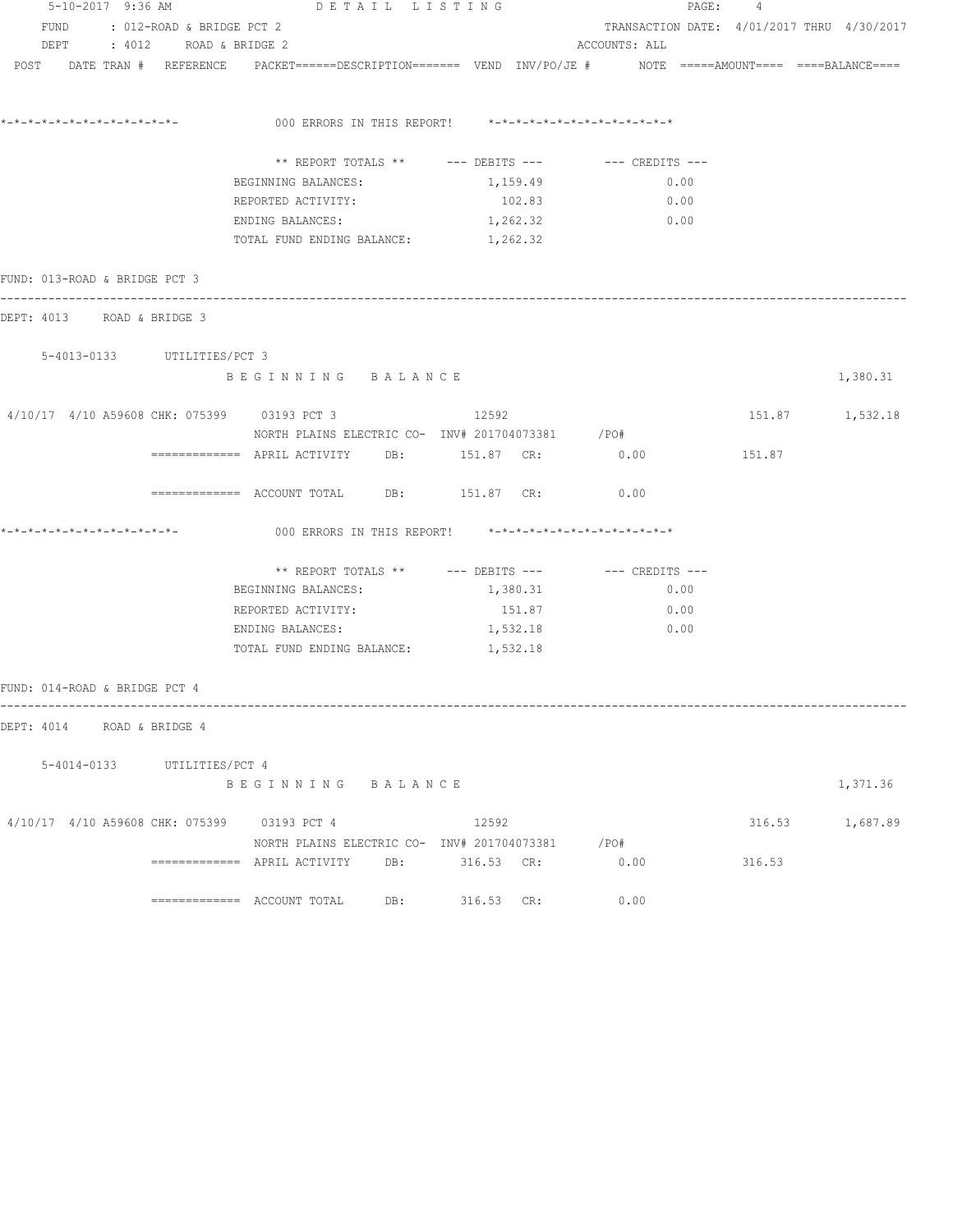|                                             | DETAIL LISTING<br>5-10-2017 9:36 AM |                             |                                             |     |                                                                                                                 |                                            | PAGE:<br>4 |                 |  |  |  |
|---------------------------------------------|-------------------------------------|-----------------------------|---------------------------------------------|-----|-----------------------------------------------------------------------------------------------------------------|--------------------------------------------|------------|-----------------|--|--|--|
| FUND: 012-ROAD & BRIDGE PCT 2               |                                     |                             |                                             |     |                                                                                                                 | TRANSACTION DATE: 4/01/2017 THRU 4/30/2017 |            |                 |  |  |  |
|                                             |                                     | DEPT : 4012 ROAD & BRIDGE 2 |                                             |     |                                                                                                                 | ACCOUNTS: ALL                              |            |                 |  |  |  |
|                                             |                                     |                             |                                             |     | POST DATE TRAN # REFERENCE PACKET======DESCRIPTION======= VEND INV/PO/JE # NOTE =====AMOUNT==== ====BALANCE==== |                                            |            |                 |  |  |  |
| *_*_*_*_*_*_*_*_*_*_*_*_*_*_*_              |                                     |                             |                                             |     | 000 ERRORS IN THIS REPORT! *-*-*-*-*-*-*-*-*-*-*-*-*-*-                                                         |                                            |            |                 |  |  |  |
|                                             |                                     |                             |                                             |     |                                                                                                                 |                                            |            |                 |  |  |  |
|                                             |                                     |                             | BEGINNING BALANCES:                         |     | 1,159.49                                                                                                        | 0.00                                       |            |                 |  |  |  |
|                                             |                                     |                             | REPORTED ACTIVITY:                          |     | 102.83                                                                                                          | 0.00                                       |            |                 |  |  |  |
|                                             |                                     |                             | ENDING BALANCES:                            |     | 1,262.32                                                                                                        | $\sim 0.00$                                |            |                 |  |  |  |
|                                             |                                     |                             | TOTAL FUND ENDING BALANCE: 1,262.32         |     |                                                                                                                 |                                            |            |                 |  |  |  |
| FUND: 013-ROAD & BRIDGE PCT 3               |                                     |                             |                                             |     |                                                                                                                 |                                            |            |                 |  |  |  |
| DEPT: 4013 ROAD & BRIDGE 3                  |                                     |                             |                                             |     |                                                                                                                 |                                            |            |                 |  |  |  |
|                                             |                                     | 5-4013-0133 UTILITIES/PCT 3 |                                             |     |                                                                                                                 |                                            |            |                 |  |  |  |
|                                             |                                     |                             | BEGINNING BALANCE                           |     |                                                                                                                 |                                            |            | 1,380.31        |  |  |  |
| 4/10/17 4/10 A59608 CHK: 075399 03193 PCT 3 |                                     |                             |                                             |     | 12592                                                                                                           |                                            |            | 151.87 1,532.18 |  |  |  |
|                                             |                                     |                             |                                             |     | NORTH PLAINS ELECTRIC CO- INV# 201704073381 / PO#<br>============ APRIL ACTIVITY DB: 151.87 CR: 0.00            |                                            | 151.87     |                 |  |  |  |
|                                             |                                     |                             |                                             |     |                                                                                                                 |                                            |            |                 |  |  |  |
|                                             |                                     |                             |                                             |     | ============ ACCOUNT TOTAL DB: 151.87 CR: 0.00                                                                  |                                            |            |                 |  |  |  |
|                                             |                                     |                             |                                             |     | 000 ERRORS IN THIS REPORT! $*-*-*-*-*-*-*-*-*-*-*-*-*-*-*$                                                      |                                            |            |                 |  |  |  |
|                                             |                                     |                             |                                             |     | ** REPORT TOTALS ** --- DEBITS --- -- CREDITS ---                                                               |                                            |            |                 |  |  |  |
|                                             |                                     |                             | BEGINNING BALANCES:                         |     | 1,380.31                                                                                                        | 0.00                                       |            |                 |  |  |  |
|                                             |                                     |                             | REPORTED ACTIVITY:                          |     | 151.87                                                                                                          | 0.00                                       |            |                 |  |  |  |
|                                             |                                     |                             | ENDING BALANCES:                            |     | 1,532.18                                                                                                        | 0.00                                       |            |                 |  |  |  |
|                                             |                                     |                             | TOTAL FUND ENDING BALANCE: 1,532.18         |     |                                                                                                                 |                                            |            |                 |  |  |  |
| FUND: 014-ROAD & BRIDGE PCT 4               |                                     |                             |                                             |     |                                                                                                                 |                                            |            |                 |  |  |  |
| DEPT: 4014 ROAD & BRIDGE 4                  |                                     |                             |                                             |     |                                                                                                                 |                                            |            |                 |  |  |  |
|                                             |                                     | 5-4014-0133 UTILITIES/PCT 4 |                                             |     |                                                                                                                 |                                            |            |                 |  |  |  |
|                                             |                                     |                             | BEGINNING BALANCE                           |     |                                                                                                                 |                                            |            | 1,371.36        |  |  |  |
|                                             |                                     |                             | 4/10/17 4/10 A59608 CHK: 075399 03193 PCT 4 |     | 12592                                                                                                           |                                            |            | 316.53 1,687.89 |  |  |  |
|                                             |                                     |                             |                                             |     | NORTH PLAINS ELECTRIC CO- INV# 201704073381 / PO#                                                               |                                            |            |                 |  |  |  |
|                                             |                                     |                             |                                             |     | ============ APRIL ACTIVITY DB: 316.53 CR:                                                                      | 0.00                                       | 316.53     |                 |  |  |  |
|                                             |                                     |                             |                                             | DB: | 316.53 CR:                                                                                                      | 0.00                                       |            |                 |  |  |  |